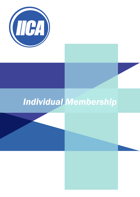

# *Individual Membership*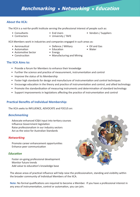# **Benchmarking • Networking • Education**

### **About the IICA:**

The IICA is a not-for-profit Institute serving the professional interest of people such as:

- Consultants
- Contractors
- End Users
- University / TAFE
- Vendors / Suppliers

IICA Members work in industries and companies engaged in such areas as:

- Aeronautical
- Defence / Military
- Automation
- Automotive Sector • Construction
- 
- **The IICA Aims to:**
	- Provide a forum for Members to enhance their knowledge
	- Further the science and practice of measurement, instrumentation and control
	- Improve the status of its Membership
	- Foster high standards for design and manufacture of instrumentation and control techniques
	- Encourage education in the theory and practice of instrumentation and control, and allied technology
	- Promote the standardisation of measuring instruments and determination of standard technology
	- Support improvements in legislations affecting the practice of instrumentation and control

# **Practical Benefits of Individual Membership:**

The IICA seeks to INFLUENCE, ADVOCATE and FOCUS on:

# *Benchmarking*

Advocate enhanced IC&A input into tertiary courses Influence Government legislation Raise professionalism in our industry sectors Act as the voice for Australian Standards

# *Networking*

Promote career enhancement opportunities Enhance peer communication

# *Education*

Foster on-going professional development Monitor future trends Add value to education's knowledge base



The above areas of practical influence will help raise the professionalism, standing and visibility within the broader community of Individual Members of the IICA.

**Note:** No formal qualifications are required to become a Member. If you have a professional interest in any area of instrumentation, control or automation, you can join.

- Education
- Energy
- Manufacturing and Mining
- 
- Oil and Gas
- Water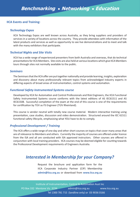#### **IICA Events and Training:**

#### *Technology Expos*

IICA Technology Expos are well known across Australia, as they bring suppliers and providers of services in a variety of locations across the country. They provide attendees with information of the latest products and services as well as opportunity to see live demonstrations and to meet and talk with the many exhibitors that participate.

#### *Technical Nights and Site Visits*

IICA has a wide range of experienced presenters from both Australia and overseas, that do technical presentations for IICA Members. Site visits are also held at various locations which give IICA Members tours through sites not normally available to the public.

#### *Seminars*

The Seminars that the IICA offer are put together nationally and provide learning, insights, exploration and discovery about many professionally relevant topics from acknowledged industry experts in differing aspects of broad areas of instrumentation, control systems and automation.

#### *Functional Safety Instrumented Systems course*

Developed by IICA for Automation and Control Professionals and Risk Engineers, the IICA Functional Safety Instrumented Systems course conforms with the latest editions of AS IEC61511 and AS IEC61508. Successful completion of the exam at the end of this course is one of the requirements for certification by TÜV as FS Engineer (TÜV Rheinland).

This course is vendor neutral with totally new course material. Modern interactive training using presentation, case studies, discussion and video demonstration. Structured around the IEC 61511 functional safety lifecycle, emphasising what YOU have to do to comply.

#### *Professional Development / Training*

The IICA offers a wide range of one day and other short courses on topics that cover many areas that are of relevance to Members and others. Currently the majority of courses are offered under licence from the ISA and all are conducted with ISA approved instructors. Other courses are offered in conjunction with local training providers. IICA courses may be deemed eligible for counting towards the Professional Development requirements of Engineers Australia.

# *Interested in Membership for your Company?*

Request the brochure and application form for the IICA Corporate Industry Partner (CIP) Membership **admin@iica.org.au** or download from **www.iica.org.au**

PO Box 332 Mentone Vic 3194 admin@iica.org.au Tel 1300 781 715 (landline only) or 03 9036 0166 www.iica.org.au Institute of Instrumentation, Control & Automation Aust Inc